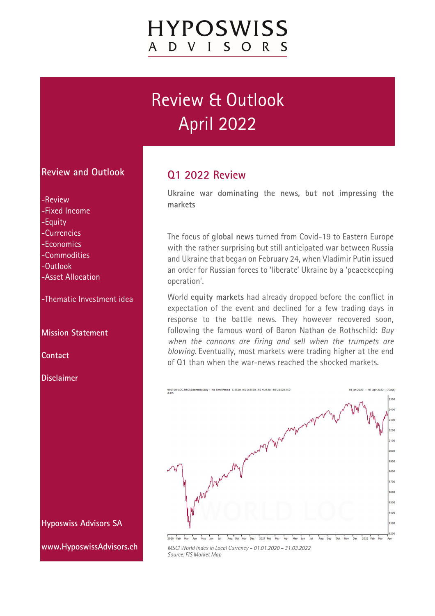# Review & Outlook April 2022

#### **Review and Outlook**

-Review

- -Fixed Income
- -Equity
- -Currencies
- -Economics
- -Commodities
- -Outlook
- -Asset Allocation

-Thematic Investment idea

**Mission Statement** 

**Contact** 

**Disclaimer** 

**Hyposwiss Advisors SA** 

**www.HyposwissAdvisors.ch** 

### **Q1 2022 Review**

**Ukraine war dominating the news, but not impressing the markets** 

The focus of **global news** turned from Covid-19 to Eastern Europe with the rather surprising but still anticipated war between Russia and Ukraine that began on February 24, when Vladimir Putin issued an order for Russian forces to 'liberate' Ukraine by a 'peacekeeping operation'.

World **equity markets** had already dropped before the conflict in expectation of the event and declined for a few trading days in response to the battle news. They however recovered soon, following the famous word of Baron Nathan de Rothschild: *Buy when the cannons are firing and sell when the trumpets are blowing.* Eventually, most markets were trading higher at the end of Q1 than when the war-news reached the shocked markets.



*MSCI World Index in Local Currency – 01.01.2020 – 31.03.2022 Source: FIS Market Map*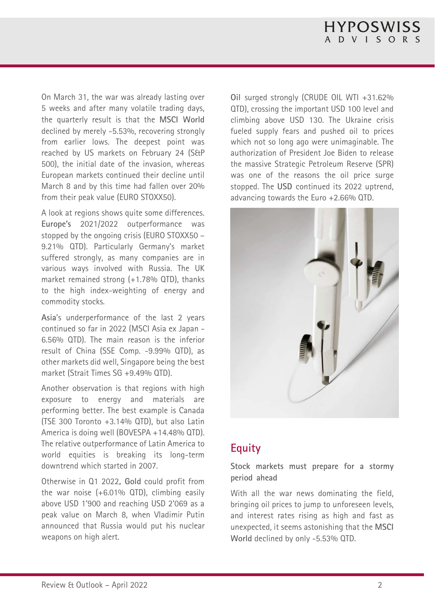On March 31, the war was already lasting over 5 weeks and after many volatile trading days, the quarterly result is that the **MSCI World** declined by merely -5.53%, recovering strongly from earlier lows. The deepest point was reached by US markets on February 24 (S&P 500), the initial date of the invasion, whereas European markets continued their decline until March 8 and by this time had fallen over 20% from their peak value (EURO STOXX50).

A look at regions shows quite some differences. **Europe's** 2021/2022 outperformance was stopped by the ongoing crisis (EURO STOXX50 – 9.21% QTD). Particularly Germany's market suffered strongly, as many companies are in various ways involved with Russia. The UK market remained strong (+1.78% QTD), thanks to the high index-weighting of energy and commodity stocks.

**Asia**'s underperformance of the last 2 years continued so far in 2022 (MSCI Asia ex Japan - 6.56% QTD). The main reason is the inferior result of China (SSE Comp. -9.99% QTD), as other markets did well, Singapore being the best market (Strait Times SG +9.49% QTD).

Another observation is that regions with high exposure to energy and materials are performing better. The best example is Canada (TSE 300 Toronto +3.14% QTD), but also Latin America is doing well (BOVESPA +14.48% QTD). The relative outperformance of Latin America to world equities is breaking its long-term downtrend which started in 2007.

Otherwise in Q1 2022**, Gold** could profit from the war noise  $(+6.01\%$  QTD), climbing easily above USD 1'900 and reaching USD 2'069 as a peak value on March 8, when Vladimir Putin announced that Russia would put his nuclear weapons on high alert.

**Oil** surged strongly (CRUDE OIL WTI +31.62% QTD), crossing the important USD 100 level and climbing above USD 130. The Ukraine crisis fueled supply fears and pushed oil to prices which not so long ago were unimaginable. The authorization of President Joe Biden to release the massive Strategic Petroleum Reserve (SPR) was one of the reasons the oil price surge stopped. The **USD** continued its 2022 uptrend, advancing towards the Euro +2.66% QTD.



## **Equity**

**Stock markets must prepare for a stormy period ahead** 

With all the war news dominating the field, bringing oil prices to jump to unforeseen levels, and interest rates rising as high and fast as unexpected, it seems astonishing that the **MSCI World** declined by only -5.53% QTD.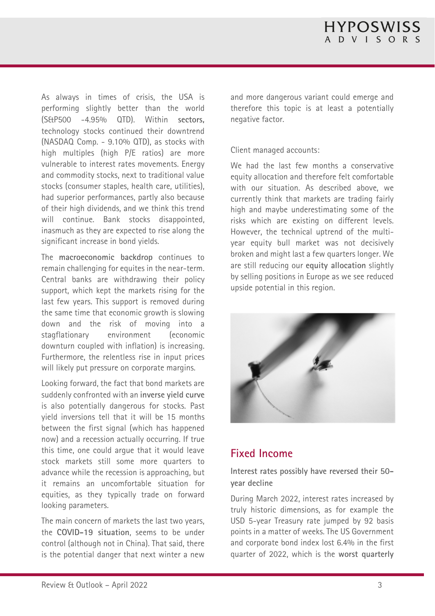As always in times of crisis, the USA is performing slightly better than the world (S&P500 -4.95% QTD). Within **sectors,** technology stocks continued their downtrend (NASDAQ Comp. - 9.10% QTD), as stocks with high multiples (high P/E ratios) are more vulnerable to interest rates movements. Energy and commodity stocks, next to traditional value stocks (consumer staples, health care, utilities), had superior performances, partly also because of their high dividends, and we think this trend will continue. Bank stocks disappointed, inasmuch as they are expected to rise along the significant increase in bond yields.

The **macroeconomic backdrop** continues to remain challenging for equites in the near-term. Central banks are withdrawing their policy support, which kept the markets rising for the last few years. This support is removed during the same time that economic growth is slowing down and the risk of moving into a stagflationary environment (economic downturn coupled with inflation) is increasing. Furthermore, the relentless rise in input prices will likely put pressure on corporate margins.

Looking forward, the fact that bond markets are suddenly confronted with an **inverse yield curve** is also potentially dangerous for stocks. Past yield inversions tell that it will be 15 months between the first signal (which has happened now) and a recession actually occurring. If true this time, one could argue that it would leave stock markets still some more quarters to advance while the recession is approaching, but it remains an uncomfortable situation for equities, as they typically trade on forward looking parameters.

The main concern of markets the last two years, the **COVID-19 situation**, seems to be under control (although not in China). That said, there is the potential danger that next winter a new and more dangerous variant could emerge and therefore this topic is at least a potentially negative factor.

#### Client managed accounts:

We had the last few months a conservative equity allocation and therefore felt comfortable with our situation. As described above, we currently think that markets are trading fairly high and maybe underestimating some of the risks which are existing on different levels. However, the technical uptrend of the multiyear equity bull market was not decisively broken and might last a few quarters longer. We are still reducing our **equity allocation** slightly by selling positions in Europe as we see reduced upside potential in this region.



#### **Fixed Income**

**Interest rates possibly have reversed their 50 year decline** 

During March 2022, interest rates increased by truly historic dimensions, as for example the USD 5-year Treasury rate jumped by 92 basis points in a matter of weeks. The US Government and corporate bond index lost 6.4% in the first quarter of 2022, which is the **worst quarterly**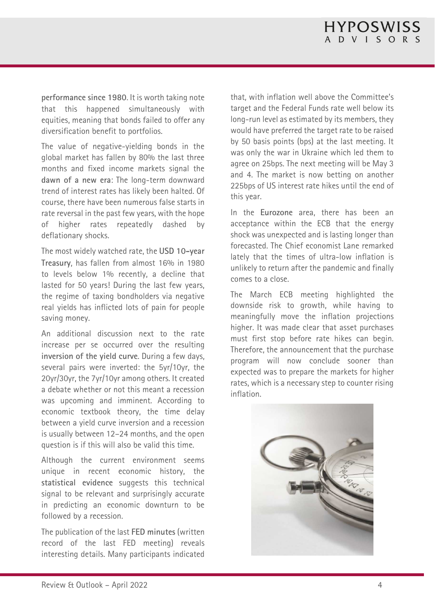**performance since 1980**. It is worth taking note that this happened simultaneously with equities, meaning that bonds failed to offer any diversification benefit to portfolios.

The value of negative-yielding bonds in the global market has fallen by 80% the last three months and fixed income markets signal the **dawn of a new era**: The long-term downward trend of interest rates has likely been halted. Of course, there have been numerous false starts in rate reversal in the past few years, with the hope of higher rates repeatedly dashed by deflationary shocks.

The most widely watched rate, the **USD 10-year Treasury**, has fallen from almost 16% in 1980 to levels below 1% recently, a decline that lasted for 50 years! During the last few years, the regime of taxing bondholders via negative real yields has inflicted lots of pain for people saving money.

An additional discussion next to the rate increase per se occurred over the resulting **inversion of the yield curve**. During a few days, several pairs were inverted: the 5yr/10yr, the 20yr/30yr, the 7yr/10yr among others. It created a debate whether or not this meant a recession was upcoming and imminent. According to economic textbook theory, the time delay between a yield curve inversion and a recession is usually between 12–24 months, and the open question is if this will also be valid this time.

Although the current environment seems unique in recent economic history, the **statistical evidence** suggests this technical signal to be relevant and surprisingly accurate in predicting an economic downturn to be followed by a recession.

The publication of the last **FED minutes** (written record of the last FED meeting) reveals interesting details. Many participants indicated

that, with inflation well above the Committee's target and the Federal Funds rate well below its long-run level as estimated by its members, they would have preferred the target rate to be raised by 50 basis points (bps) at the last meeting. It was only the war in Ukraine which led them to agree on 25bps. The next meeting will be May 3 and 4. The market is now betting on another 225bps of US interest rate hikes until the end of this year.

In the **Eurozone** area, there has been an acceptance within the ECB that the energy shock was unexpected and is lasting longer than forecasted. The Chief economist Lane remarked lately that the times of ultra-low inflation is unlikely to return after the pandemic and finally comes to a close.

The March ECB meeting highlighted the downside risk to growth, while having to meaningfully move the inflation projections higher. It was made clear that asset purchases must first stop before rate hikes can begin. Therefore, the announcement that the purchase program will now conclude sooner than expected was to prepare the markets for higher rates, which is a necessary step to counter rising inflation.

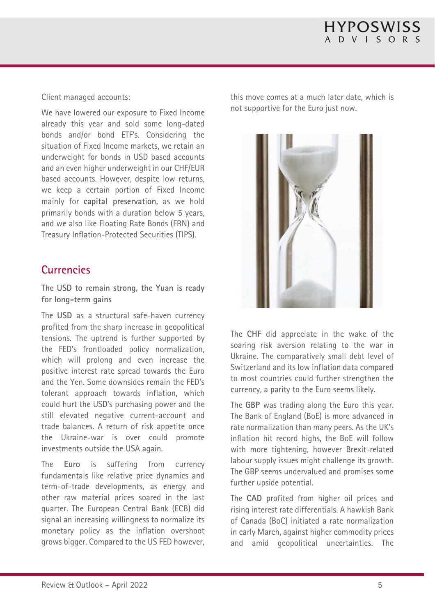Client managed accounts:

We have lowered our exposure to Fixed Income already this year and sold some long-dated bonds and/or bond ETF's. Considering the situation of Fixed Income markets, we retain an underweight for bonds in USD based accounts and an even higher underweight in our CHF/EUR based accounts. However, despite low returns, we keep a certain portion of Fixed Income mainly for **capital preservation**, as we hold primarily bonds with a duration below 5 years, and we also like Floating Rate Bonds (FRN) and Treasury Inflation-Protected Securities (TIPS).

## **Currencies**

**The USD to remain strong, the Yuan is ready for long-term gains** 

The **USD** as a structural safe-haven currency profited from the sharp increase in geopolitical tensions. The uptrend is further supported by the FED's frontloaded policy normalization, which will prolong and even increase the positive interest rate spread towards the Euro and the Yen. Some downsides remain the FED's tolerant approach towards inflation, which could hurt the USD's purchasing power and the still elevated negative current-account and trade balances. A return of risk appetite once the Ukraine-war is over could promote investments outside the USA again.

The **Euro** is suffering from currency fundamentals like relative price dynamics and term-of-trade developments, as energy and other raw material prices soared in the last quarter. The European Central Bank (ECB) did signal an increasing willingness to normalize its monetary policy as the inflation overshoot grows bigger. Compared to the US FED however,

this move comes at a much later date, which is not supportive for the Euro just now.



The **CHF** did appreciate in the wake of the soaring risk aversion relating to the war in Ukraine. The comparatively small debt level of Switzerland and its low inflation data compared to most countries could further strengthen the currency, a parity to the Euro seems likely.

The **GBP** was trading along the Euro this year. The Bank of England (BoE) is more advanced in rate normalization than many peers. As the UK's inflation hit record highs, the BoE will follow with more tightening, however Brexit-related labour supply issues might challenge its growth. The GBP seems undervalued and promises some further upside potential.

The **CAD** profited from higher oil prices and rising interest rate differentials. A hawkish Bank of Canada (BoC) initiated a rate normalization in early March, against higher commodity prices and amid geopolitical uncertainties. The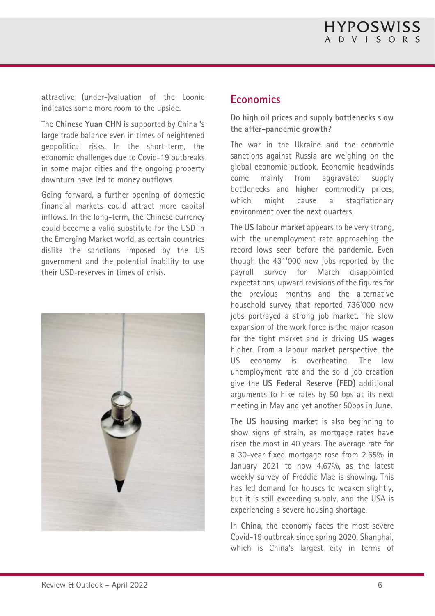attractive (under-)valuation of the Loonie indicates some more room to the upside.

The **Chinese Yuan CHN** is supported by China 's large trade balance even in times of heightened geopolitical risks. In the short-term, the economic challenges due to Covid-19 outbreaks in some major cities and the ongoing property downturn have led to money outflows.

Going forward, a further opening of domestic financial markets could attract more capital inflows. In the long-term, the Chinese currency could become a valid substitute for the USD in the Emerging Market world, as certain countries dislike the sanctions imposed by the US government and the potential inability to use their USD-reserves in times of crisis.



#### **Economics**

**Do high oil prices and supply bottlenecks slow the after-pandemic growth?** 

The war in the Ukraine and the economic sanctions against Russia are weighing on the global economic outlook. Economic headwinds come mainly from aggravated supply bottlenecks and **higher commodity prices**, which might cause a stagflationary environment over the next quarters.

The **US labour market** appears to be very strong, with the unemployment rate approaching the record lows seen before the pandemic. Even though the 431'000 new jobs reported by the payroll survey for March disappointed expectations, upward revisions of the figures for the previous months and the alternative household survey that reported 736'000 new jobs portrayed a strong job market. The slow expansion of the work force is the major reason for the tight market and is driving **US wages** higher. From a labour market perspective, the US economy is overheating. The low unemployment rate and the solid job creation give the **US Federal Reserve (FED)** additional arguments to hike rates by 50 bps at its next meeting in May and yet another 50bps in June.

The **US housing market** is also beginning to show signs of strain, as mortgage rates have risen the most in 40 years. The average rate for a 30-year fixed mortgage rose from 2.65% in January 2021 to now 4.67%, as the latest weekly survey of Freddie Mac is showing. This has led demand for houses to weaken slightly, but it is still exceeding supply, and the USA is experiencing a severe housing shortage.

In **China**, the economy faces the most severe Covid-19 outbreak since spring 2020. Shanghai, which is China's largest city in terms of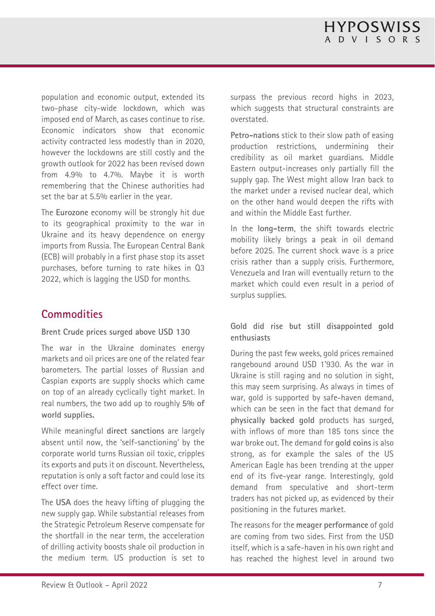population and economic output, extended its two-phase city-wide lockdown, which was imposed end of March, as cases continue to rise. Economic indicators show that economic activity contracted less modestly than in 2020, however the lockdowns are still costly and the growth outlook for 2022 has been revised down from 4.9% to 4.7%. Maybe it is worth remembering that the Chinese authorities had set the bar at 5.5% earlier in the year.

The **Eurozone** economy will be strongly hit due to its geographical proximity to the war in Ukraine and its heavy dependence on energy imports from Russia. The European Central Bank (ECB) will probably in a first phase stop its asset purchases, before turning to rate hikes in Q3 2022, which is lagging the USD for months.

## **Commodities**

#### **Brent Crude prices surged above USD 130**

The war in the Ukraine dominates energy markets and oil prices are one of the related fear barometers. The partial losses of Russian and Caspian exports are supply shocks which came on top of an already cyclically tight market. In real numbers, the two add up to roughly **5% of world supplies.** 

While meaningful **direct sanctions** are largely absent until now, the 'self-sanctioning' by the corporate world turns Russian oil toxic, cripples its exports and puts it on discount. Nevertheless, reputation is only a soft factor and could lose its effect over time.

The **USA** does the heavy lifting of plugging the new supply gap. While substantial releases from the Strategic Petroleum Reserve compensate for the shortfall in the near term, the acceleration of drilling activity boosts shale oil production in the medium term. US production is set to

surpass the previous record highs in 2023, which suggests that structural constraints are overstated.

**Petro-nations** stick to their slow path of easing production restrictions, undermining their credibility as oil market guardians. Middle Eastern output-increases only partially fill the supply gap. The West might allow Iran back to the market under a revised nuclear deal, which on the other hand would deepen the rifts with and within the Middle East further.

In the **long-term**, the shift towards electric mobility likely brings a peak in oil demand before 2025. The current shock wave is a price crisis rather than a supply crisis. Furthermore, Venezuela and Iran will eventually return to the market which could even result in a period of surplus supplies.

#### **Gold did rise but still disappointed gold enthusiasts**

During the past few weeks, gold prices remained rangebound around USD 1'930. As the war in Ukraine is still raging and no solution in sight, this may seem surprising. As always in times of war, gold is supported by safe-haven demand. which can be seen in the fact that demand for **physically backed gold** products has surged, with inflows of more than 185 tons since the war broke out. The demand for **gold coins** is also strong, as for example the sales of the US American Eagle has been trending at the upper end of its five-year range. Interestingly, gold demand from speculative and short-term traders has not picked up, as evidenced by their positioning in the futures market.

The reasons for the **meager performance** of gold are coming from two sides. First from the USD itself, which is a safe-haven in his own right and has reached the highest level in around two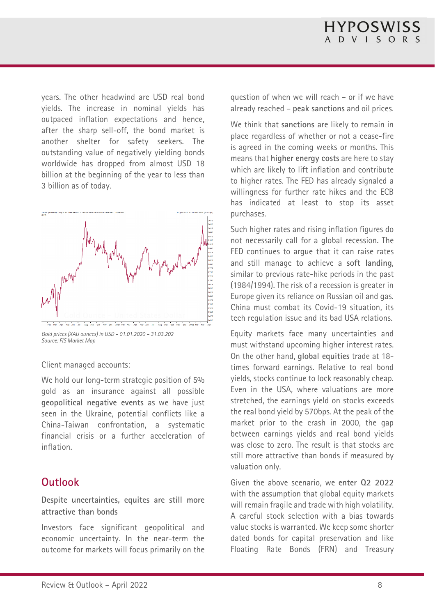years. The other headwind are USD real bond yields. The increase in nominal yields has outpaced inflation expectations and hence, after the sharp sell-off, the bond market is another shelter for safety seekers. The outstanding value of negatively yielding bonds worldwide has dropped from almost USD 18 billion at the beginning of the year to less than 3 billion as of today.



*Source: FIS Market Map* 

Client managed accounts:

We hold our long-term strategic position of 5% gold as an insurance against all possible **geopolitical negative events** as we have just seen in the Ukraine, potential conflicts like a China-Taiwan confrontation, a systematic financial crisis or a further acceleration of inflation.

#### **Outlook**

**Despite uncertainties, equites are still more attractive than bonds** 

Investors face significant geopolitical and economic uncertainty. In the near-term the outcome for markets will focus primarily on the question of when we will reach – or if we have already reached – **peak sanctions** and oil prices.

We think that **sanctions** are likely to remain in place regardless of whether or not a cease-fire is agreed in the coming weeks or months. This means that **higher energy costs** are here to stay which are likely to lift inflation and contribute to higher rates. The FED has already signaled a willingness for further rate hikes and the ECB has indicated at least to stop its asset purchases.

Such higher rates and rising inflation figures do not necessarily call for a global recession. The FED continues to arque that it can raise rates and still manage to achieve a **soft landing**, similar to previous rate-hike periods in the past (1984/1994). The risk of a recession is greater in Europe given its reliance on Russian oil and gas. China must combat its Covid-19 situation, its tech regulation issue and its bad USA relations.

Equity markets face many uncertainties and must withstand upcoming higher interest rates. On the other hand, **global equities** trade at 18 times forward earnings. Relative to real bond yields, stocks continue to lock reasonably cheap. Even in the USA, where valuations are more stretched, the earnings yield on stocks exceeds the real bond yield by 570bps. At the peak of the market prior to the crash in 2000, the gap between earnings yields and real bond yields was close to zero. The result is that stocks are still more attractive than bonds if measured by valuation only.

Given the above scenario, we **enter Q2 2022** with the assumption that global equity markets will remain fragile and trade with high volatility. A careful stock selection with a bias towards value stocks is warranted. We keep some shorter dated bonds for capital preservation and like Floating Rate Bonds (FRN) and Treasury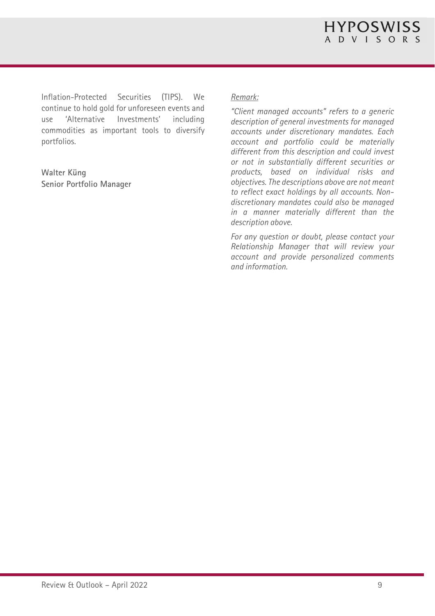Inflation-Protected Securities (TIPS). We continue to hold gold for unforeseen events and use 'Alternative Investments' including commodities as important tools to diversify portfolios.

**Walter Küng Senior Portfolio Manager** 

#### *Remark:*

*"Client managed accounts" refers to a generic description of general investments for managed accounts under discretionary mandates. Each account and portfolio could be materially different from this description and could invest or not in substantially different securities or products, based on individual risks and objectives. The descriptions above are not meant to reflect exact holdings by all accounts. Nondiscretionary mandates could also be managed in a manner materially different than the description above.* 

*For any question or doubt, please contact your Relationship Manager that will review your account and provide personalized comments and information.*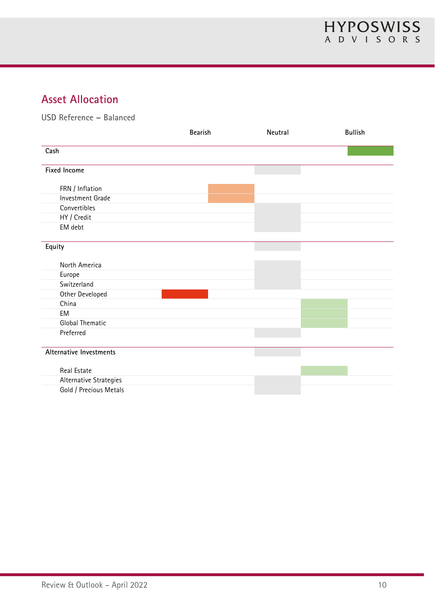## **Asset Allocation**

**USD Reference – Balanced** 

|                         | <b>Bearish</b> | Neutral | <b>Bullish</b> |
|-------------------------|----------------|---------|----------------|
| Cash                    |                |         |                |
| <b>Fixed Income</b>     |                |         |                |
| FRN / Inflation         |                |         |                |
| Investment Grade        |                |         |                |
| Convertibles            |                |         |                |
| HY / Credit             |                |         |                |
| EM debt                 |                |         |                |
| Equity                  |                |         |                |
| North America           |                |         |                |
| Europe                  |                |         |                |
| Switzerland             |                |         |                |
| Other Developed         |                |         |                |
| China                   |                |         |                |
| EM                      |                |         |                |
| <b>Global Thematic</b>  |                |         |                |
| Preferred               |                |         |                |
| Alternative Investments |                |         |                |
| Real Estate             |                |         |                |
| Alternative Strategies  |                |         |                |
| Gold / Precious Metals  |                |         |                |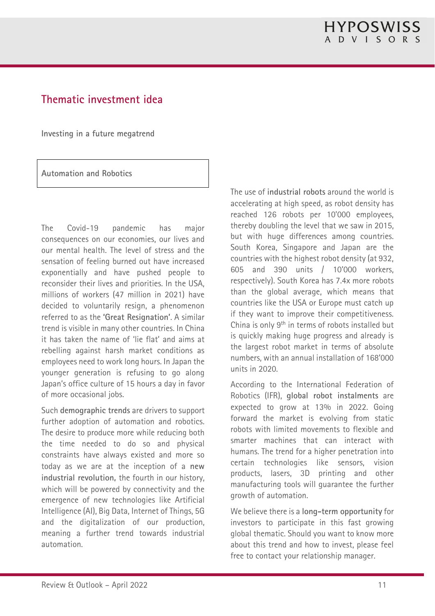## **Thematic investment idea**

**Investing in a future megatrend** 

**Automation and Robotics** 

The Covid-19 pandemic has major consequences on our economies, our lives and our mental health. The level of stress and the sensation of feeling burned out have increased exponentially and have pushed people to reconsider their lives and priorities. In the USA, millions of workers (47 million in 2021) have decided to voluntarily resign, a phenomenon referred to as the **'Great Resignation'**. A similar trend is visible in many other countries. In China it has taken the name of 'lie flat' and aims at rebelling against harsh market conditions as employees need to work long hours. In Japan the younger generation is refusing to go along Japan's office culture of 15 hours a day in favor of more occasional jobs.

Such **demographic trends** are drivers to support further adoption of automation and robotics. The desire to produce more while reducing both the time needed to do so and physical constraints have always existed and more so today as we are at the inception of a **new industrial revolution,** the fourth in our history, which will be powered by connectivity and the emergence of new technologies like Artificial Intelligence (AI), Big Data, Internet of Things, 5G and the digitalization of our production, meaning a further trend towards industrial automation.

The use of **industrial robots** around the world is accelerating at high speed, as robot density has reached 126 robots per 10'000 employees, thereby doubling the level that we saw in 2015, but with huge differences among countries. South Korea, Singapore and Japan are the countries with the highest robot density (at 932, 605 and 390 units / 10'000 workers, respectively). South Korea has 7.4x more robots than the global average, which means that countries like the USA or Europe must catch up if they want to improve their competitiveness. China is only 9th in terms of robots installed but is quickly making huge progress and already is the largest robot market in terms of absolute numbers, with an annual installation of 168'000 units in 2020.

According to the International Federation of Robotics (IFR), **global robot instalments** are expected to grow at 13% in 2022. Going forward the market is evolving from static robots with limited movements to flexible and smarter machines that can interact with humans. The trend for a higher penetration into certain technologies like sensors, vision products, lasers, 3D printing and other manufacturing tools will guarantee the further growth of automation.

We believe there is a **long-term opportunity** for investors to participate in this fast growing global thematic. Should you want to know more about this trend and how to invest, please feel free to contact your relationship manager.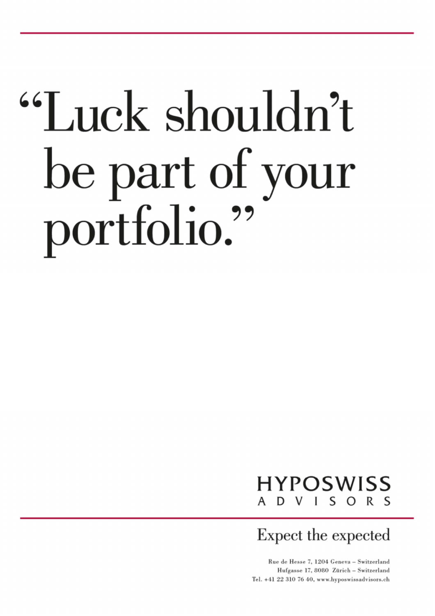# "Luck shouldn't be part of your portfolio."

#### **HYPOSWISS** VISORS D.

Expect the expected

Rue de Hesse 7, 1204 Geneva - Switzerland Hufgasse 17, 8080 Zürich - Switzerland  $R = \sum_{i=1}^{n} a_i a_i$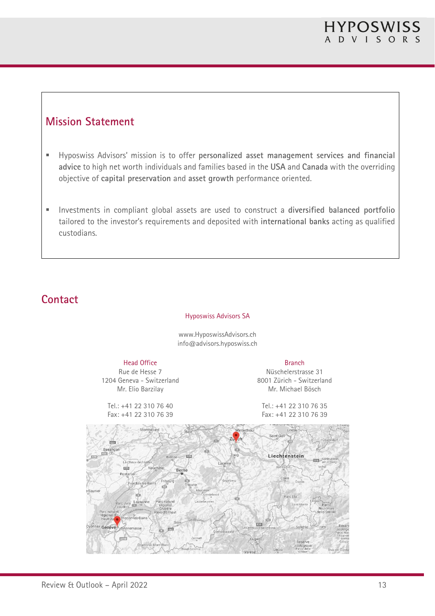## **Mission Statement**

- Hyposwiss Advisors' mission is to offer **personalized asset management services and financial advice** to high net worth individuals and families based in the **USA** and **Canada** with the overriding objective of **capital preservation** and **asset growth** performance oriented.
- Investments in compliant global assets are used to construct a **diversified balanced portfolio** tailored to the investor's requirements and deposited with **international banks** acting as qualified custodians.

## **Contact**

#### Hyposwiss Advisors SA

www.HyposwissAdvisors.ch info@advisors.hyposwiss.ch

#### Head Office

Rue de Hesse 7 1204 Geneva - Switzerland Mr. Elio Barzilay

Tel.: +41 22 310 76 40 Fax: +41 22 310 76 39

Branch

Nüschelerstrasse 31 8001 Zürich - Switzerland Mr. Michael Bösch

Tel.: +41 22 310 76 35 Fax: +41 22 310 76 39